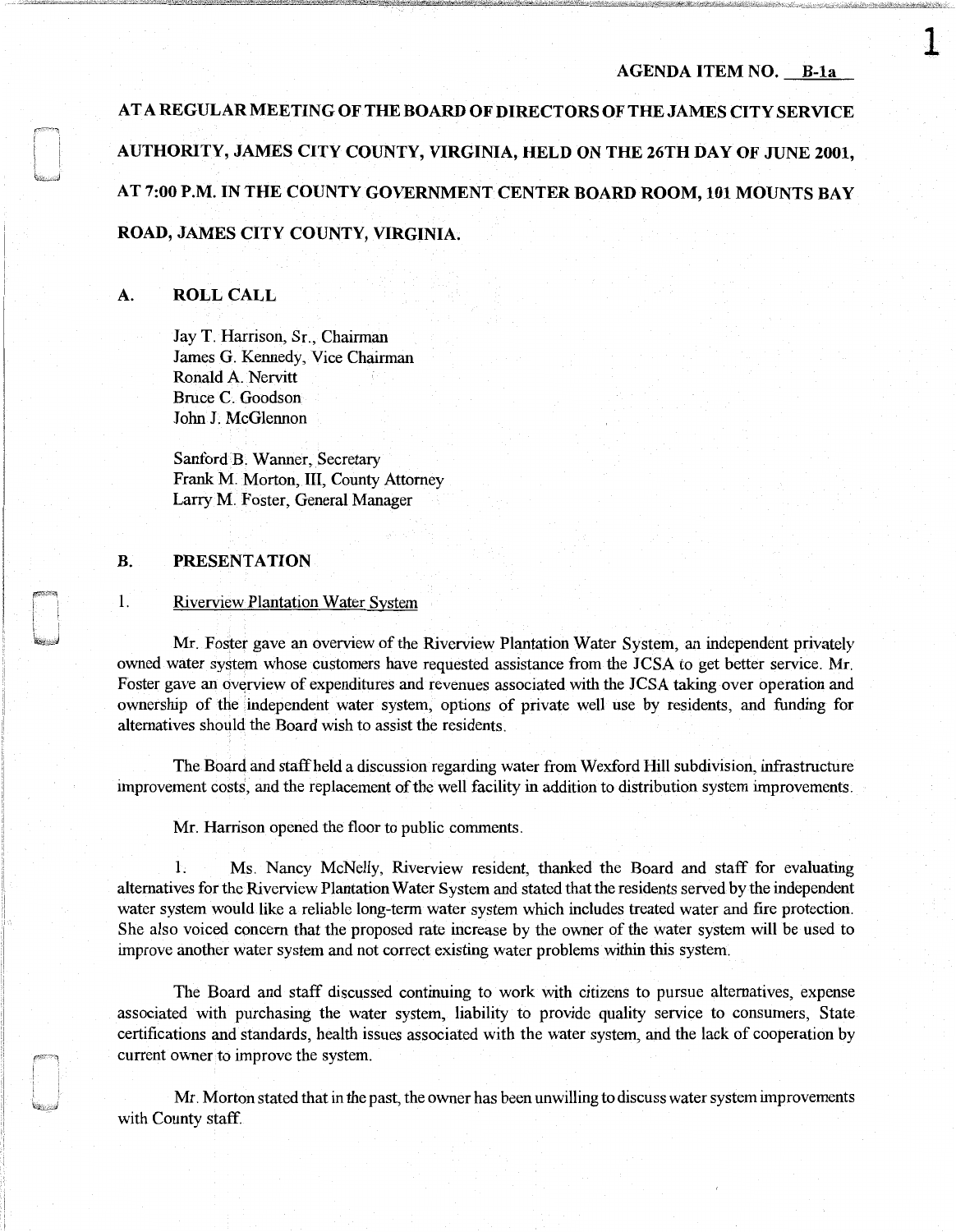# **AGENDA ITEM NO. B-la**

**1** 

AT A **REGULAR MEETING OF THE BOARD OF DIRECTORS OF THE JAMES CITY SERVICE AUTHORITY, JAMES CITY COUNTY, VIRGINIA, HELD ON THE 26TH DAY OF JUNE 2001, AT 7:00 P.M. IN THE COUNTY GOVERNMENT CENTER BOARD ROOM, 101 MOUNTS BAY ROAD, JAMES CITY COUNTY, VIRGINIA.** 

## **A. ROLL CALL**

Jay T. Harrison, Sr., Chairman James G. Kennedy, Vice Chairman Ronald A. Nervitt Bruce C. Goodson John J. McGlennon

Sanford B. Wanner, Secretary Frank M. Morton, III, County Attorney Larry M. Foster, General Manager

# **B. PRESENTATION**

## 1. Riverview Plantation Water System

Mr. Foster gave an overview of the Riverview Plantation Water System, an independent privately owned water system whose customers have requested assistance from the JCSA to get better service. Mr. Foster gave an overview of expenditures and revenues associated with the JCSA taking over operation and ownership of the independent water system, options of private well use by residents, and funding for alternatives should the Board wish to assist the residents.

The Board and staff held a discussion regarding water from Wexford **Hill** subdivision, infrastructure improvement costs, and the replacement of the well facility in addition to distribution system improvements.

Mr. Harrison opened the floor to public comments.

**1.** Ms. Nancy McNelly, Riverview resident, thanked the Board and staff for evaluating alternatives for the Riverview Plantation Water System and stated that the residents served by the independent water system would like a reliable long-term water system which includes treated water and fire protection. She also voiced concern that the proposed rate increase by the owner of the water system will be used to improve another water system and not correct existing water problems within this system.

The Board and staff discussed continuing to work with citizens to pursue alternatives, expense associated with purchasing the water system, liability to provide quality service to consumers, State certifications and standards, health issues associated with the water system, and the lack of cooperation by current owner to improve the system.

Mr. Morton stated that in the past, the owner has been unwilling to discuss water system improvements with County staff.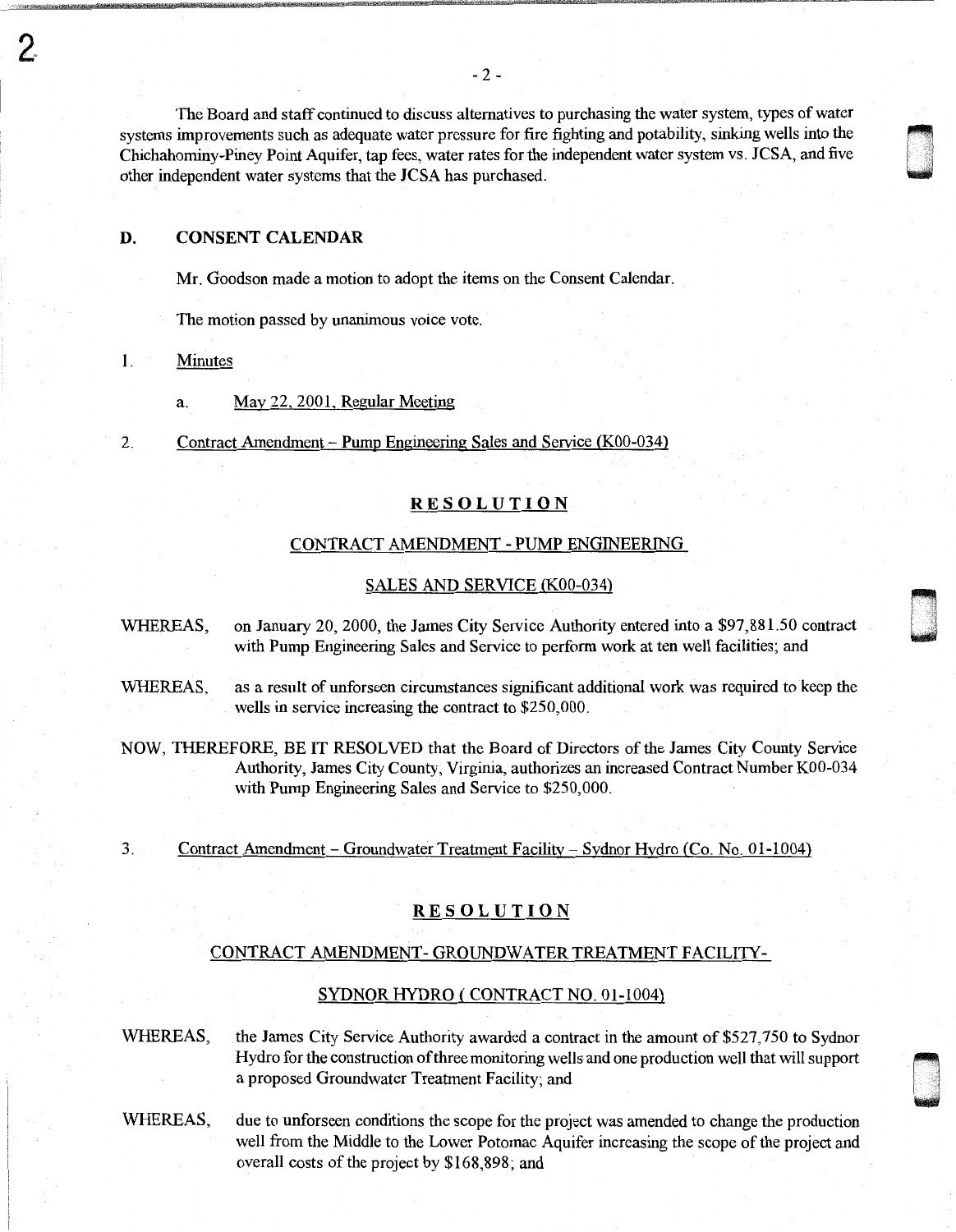The Board and staff continued to discuss alternatives to purchasing the water system, types of water systems improvements such as adequate water pressure for fire fighting and potability, sinking wells into the Chichahominy-Piney Point Aquifer, tap fees, water rates forthe independent water system vs. JCSA, and five other independent water systems that the JCSA has purchased.

# **D. CONSENT CALENDAR**

Mr. Goodson made a motion to adopt the items on the Consent Calendar.

The motion passed by unanimous voice vote.

# 1. Minutes

- a. May 22, 2001, Regular Meeting
- 2. Contract Amendment Pump Engineering Sales and Service (K00-034)

#### **RESOLUTION**

## CONTRACT AMENDMENT - PUMP ENGINEERING

#### SALES AND SERVICE (K00-034)

- WHEREAS, on January 20, 2000, the James City Service Authority entered into a \$97,881.50 contract with Pump Engineering Sales and Service to perform work at ten well facilities; and
- WHEREAS, as a result of unforseen circumstances significant additional work was required to keep the wells in service increasing the contract to \$250,000.
- NOW, THEREFORE, BE IT RESOLVED that the Board of Directors of the James City County Service Authority, James City County, Virginia, authorizes an increased Contract Number K00-034 with Pump Engineering Sales and Service to \$250,000.
- 3. Contract Amendment- Groundwater Treatment Facility- Sydnor Hydro (Co. No. 01-1004)

## **RESOLUTION**

## CONTRACT AMENDMENT- GROUNDWATER TREATMENT FACILITY-

#### SYDNORHYDRO (CONTRACT NO. 01-1004)

WHEREAS, the James City Service Authority awarded a contract in the amount of \$527,750 to Sydnor Hydro for the construction of three monitoring wells and one production well that will support a proposed Groundwater Treatment Facility; and 1

WHEREAS, due to unforseen conditions the scope for the project was amended to change the production well from the Middle to the Lower Potomac Aquifer increasing the scope of the project and overall costs of the project by \$168,898; and

D , .

n u . "

**430**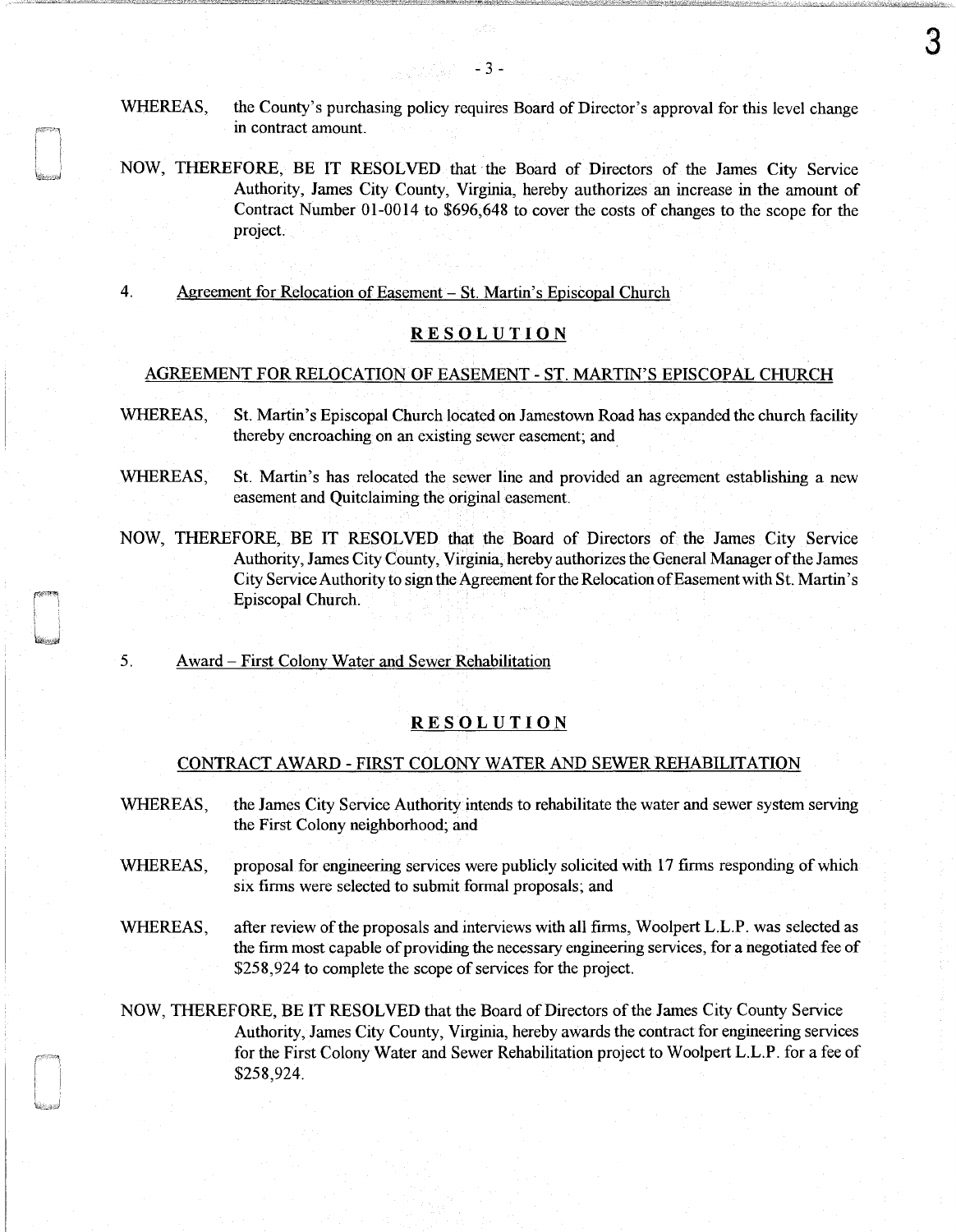- WHEREAS, the County's purchasing policy requires Board of Director's approval for this level change in contract amount.
- NOW, THEREFORE, BE IT RESOLVED that the Board of Directors of the James City Service Authority, James City County, Virginia, hereby authorizes an increase in the amount of Contract Number 01-0014 to \$696,648 to cover the costs of changes to the scope for the project.
- 4. Agreement for Relocation of Easement St. Martin's Episcopal Church

# **RESOLUTION**

## AGREEMENT FOR RELOCATION OF EASEMENT - ST. MARTIN'S EPISCOPAL CHURCH

- WHEREAS, St. Martin's Episcopal Church located on Jamestown Road has expanded the church facility thereby encroaching on an existing sewer easement; and\_
- WHEREAS, St. Martin's has relocated the sewer line and provided an agreement establishing a new easement and Quitclaiming the original easement.
- NOW, THEREFORE, BE IT RESOLVED that the Board of Directors of the James City Service Authority, James City County, Virginia, hereby authorizes the General Manager of the James City Service Authority to sign the Agreement for the Relocation of Easement with St. Martin's Episcopal Church.
- 5. Award- First Colony Water and Sewer Rehabilitation

# RESOLUTION

## CONTRACT AWARD - FIRST COLONY WATER AND SEWER REHABILITATION

- WHEREAS, the James City Service Authority intends to rehabilitate the water and sewer system serving the First Colony neighborhood; and
- WHEREAS, proposal for engineering services were publicly solicited with 17 firms responding of which six firms were selected to submit formal proposals; and
- WHEREAS, after review of the proposals and interviews with all firms, Woolpert L.L.P. was selected as the firm most capable of providing the necessary engineering services, for a negotiated fee of \$258,924 to complete the scope of services for the project.
- NOW, THEREFORE, BE IT RESOLVED that the Board of Directors of the James City County Service Authority, James City County, Virginia, hereby awards the contract for engineering services for the First Colony Water and Sewer Rehabilitation project to Woolpert L.L.P. for a fee of \$258,924.

3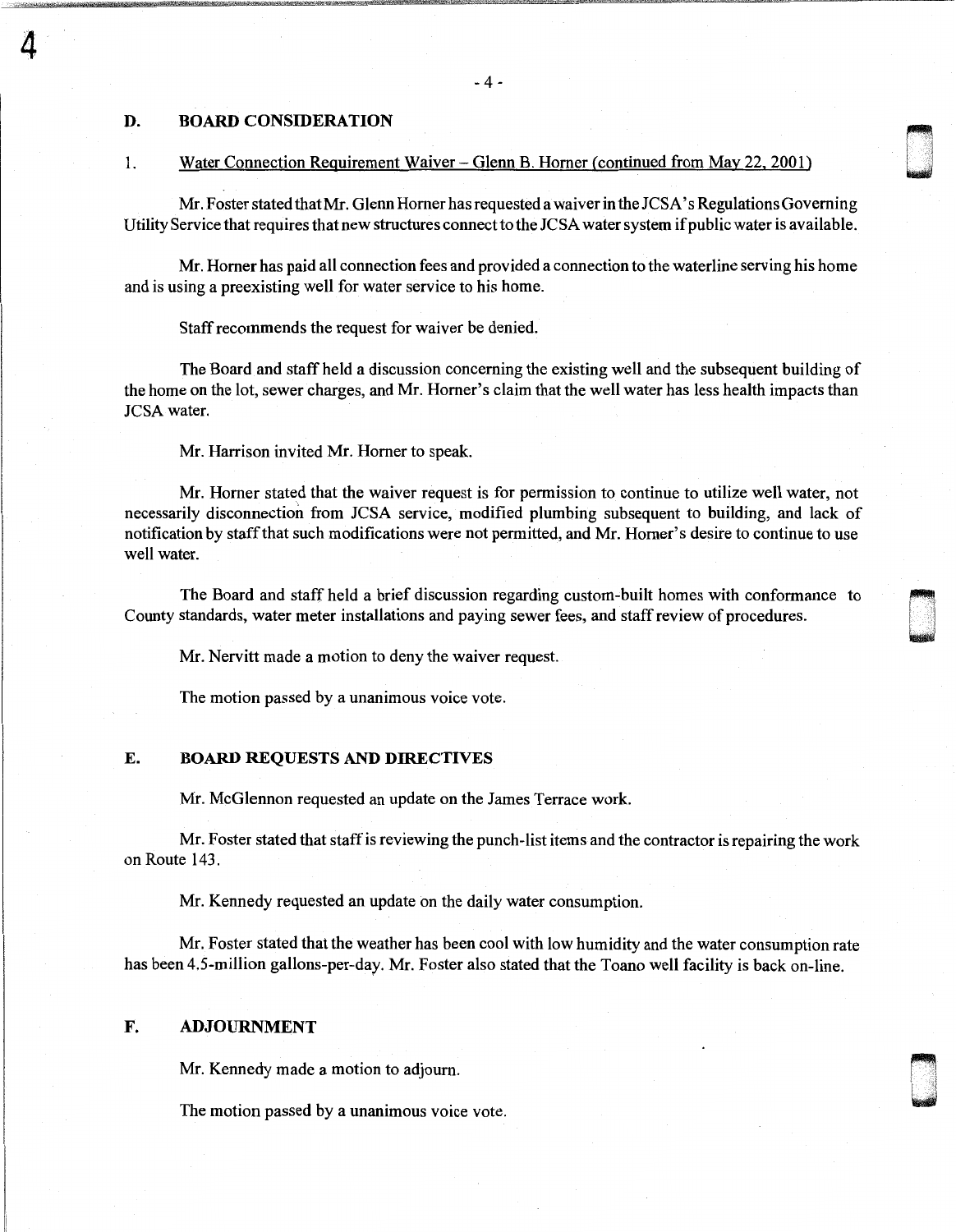# D. BOARD CONSIDERATION

4

## 1. Water Connection Requirement Waiver-Glenn B. Horner (continued from May 22. 2001)

Mr. Foster stated that Mr. Glenn Horner has requested a waiver in the JCSA' s Regulations Governing Utility Service that requires that new structures connect to the JCSA water system if public water is available. u n

Mr. Horner has paid all connection fees and provided a connection to the waterline serving his home and is using a preexisting well for water service to his home.

Staff recommends the request for waiver be denied.

The Board and staff held a discussion concerning the existing well and the subsequent building of the home on the lot, sewer charges, and Mr. Homer's claim that the well water has less health impacts than JCSA water.

Mr. Harrison invited Mr. Homer to speak.

Mr. Homer stated that the waiver request is for permission to continue to utilize well water, not necessarily disconnection from JCSA service, modified plumbing subsequent to building, and lack of notification by staff that such modifications were not permitted, and Mr. Homer's desire to continue to use well water.

The Board and staff held a brief discussion regarding custom-built homes with conformance to County standards, water meter installations and paying sewer fees, and staff review of procedures.

Mr. Nervitt made a motion to deny the waiver request.

The motion passed by a unanimous voice vote.

#### E. BOARD REQUESTS AND DIRECTIVES

Mr. McGlennon requested an update on the James Terrace work.

Mr. Foster stated that staff is reviewing the punch-list items and the contractor is repairing the work on Route 143.

Mr. Kennedy requested an update on the daily water consumption.

Mr. Foster stated that the weather has been cool with low humidity and the water consumption rate has been 4.5-million gallons-per-day. Mr. Foster also stated that the Toano well facility is back on-line.

# F. ADJOURNMENT

Mr. Kennedy made a motion to adjourn.

The motion passed by a unanimous voice vote.

- 4 -